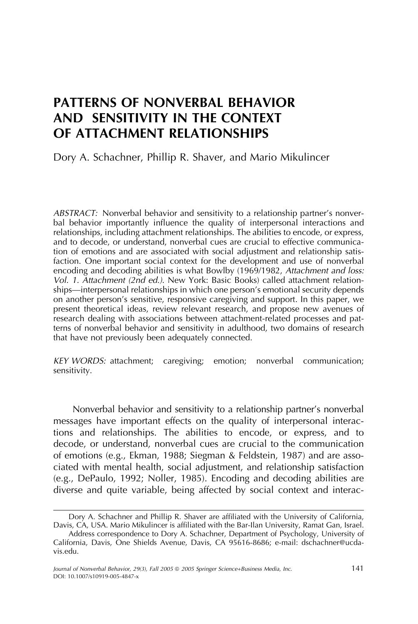# PATTERNS OF NONVERBAL BEHAVIOR AND SENSITIVITY IN THE CONTEXT OF ATTACHMENT RELATIONSHIPS

Dory A. Schachner, Phillip R. Shaver, and Mario Mikulincer

ABSTRACT: Nonverbal behavior and sensitivity to a relationship partner's nonverbal behavior importantly influence the quality of interpersonal interactions and relationships, including attachment relationships. The abilities to encode, or express, and to decode, or understand, nonverbal cues are crucial to effective communication of emotions and are associated with social adjustment and relationship satisfaction. One important social context for the development and use of nonverbal encoding and decoding abilities is what Bowlby (1969/1982, Attachment and loss: Vol. 1. Attachment (2nd ed.). New York: Basic Books) called attachment relationships—interpersonal relationships in which one person's emotional security depends on another person's sensitive, responsive caregiving and support. In this paper, we present theoretical ideas, review relevant research, and propose new avenues of research dealing with associations between attachment-related processes and patterns of nonverbal behavior and sensitivity in adulthood, two domains of research that have not previously been adequately connected.

KEY WORDS: attachment; caregiving; emotion; nonverbal communication; sensitivity.

Nonverbal behavior and sensitivity to a relationship partner's nonverbal messages have important effects on the quality of interpersonal interactions and relationships. The abilities to encode, or express, and to decode, or understand, nonverbal cues are crucial to the communication of emotions (e.g., Ekman, 1988; Siegman & Feldstein, 1987) and are associated with mental health, social adjustment, and relationship satisfaction (e.g., DePaulo, 1992; Noller, 1985). Encoding and decoding abilities are diverse and quite variable, being affected by social context and interac-

Dory A. Schachner and Phillip R. Shaver are affiliated with the University of California, Davis, CA, USA. Mario Mikulincer is affiliated with the Bar-Ilan University, Ramat Gan, Israel.

Address correspondence to Dory A. Schachner, Department of Psychology, University of California, Davis, One Shields Avenue, Davis, CA 95616-8686; e-mail: dschachner@ucdavis.edu.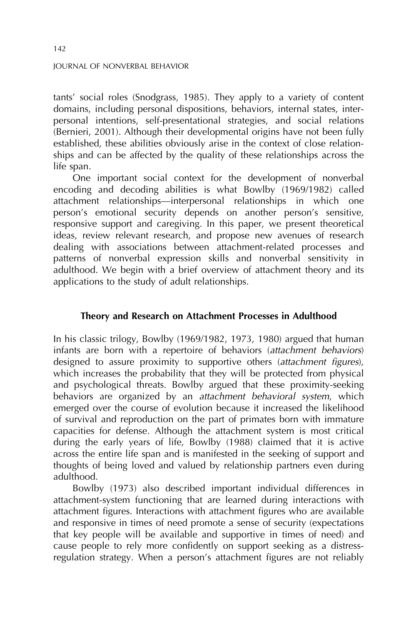tants' social roles (Snodgrass, 1985). They apply to a variety of content domains, including personal dispositions, behaviors, internal states, interpersonal intentions, self-presentational strategies, and social relations (Bernieri, 2001). Although their developmental origins have not been fully established, these abilities obviously arise in the context of close relationships and can be affected by the quality of these relationships across the life span.

One important social context for the development of nonverbal encoding and decoding abilities is what Bowlby (1969/1982) called attachment relationships—interpersonal relationships in which one person's emotional security depends on another person's sensitive, responsive support and caregiving. In this paper, we present theoretical ideas, review relevant research, and propose new avenues of research dealing with associations between attachment-related processes and patterns of nonverbal expression skills and nonverbal sensitivity in adulthood. We begin with a brief overview of attachment theory and its applications to the study of adult relationships.

## Theory and Research on Attachment Processes in Adulthood

In his classic trilogy, Bowlby (1969/1982, 1973, 1980) argued that human infants are born with a repertoire of behaviors (attachment behaviors) designed to assure proximity to supportive others (attachment figures), which increases the probability that they will be protected from physical and psychological threats. Bowlby argued that these proximity-seeking behaviors are organized by an attachment behavioral system, which emerged over the course of evolution because it increased the likelihood of survival and reproduction on the part of primates born with immature capacities for defense. Although the attachment system is most critical during the early years of life, Bowlby (1988) claimed that it is active across the entire life span and is manifested in the seeking of support and thoughts of being loved and valued by relationship partners even during adulthood.

Bowlby (1973) also described important individual differences in attachment-system functioning that are learned during interactions with attachment figures. Interactions with attachment figures who are available and responsive in times of need promote a sense of security (expectations that key people will be available and supportive in times of need) and cause people to rely more confidently on support seeking as a distressregulation strategy. When a person's attachment figures are not reliably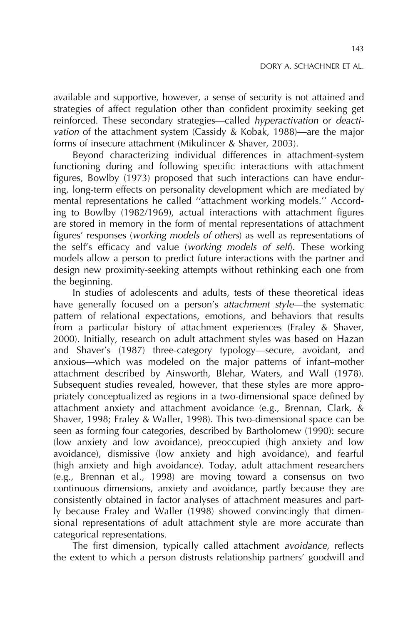available and supportive, however, a sense of security is not attained and strategies of affect regulation other than confident proximity seeking get reinforced. These secondary strategies—called hyperactivation or deactivation of the attachment system (Cassidy & Kobak, 1988)—are the major forms of insecure attachment (Mikulincer & Shaver, 2003).

Beyond characterizing individual differences in attachment-system functioning during and following specific interactions with attachment figures, Bowlby (1973) proposed that such interactions can have enduring, long-term effects on personality development which are mediated by mental representations he called ''attachment working models.'' According to Bowlby (1982/1969), actual interactions with attachment figures are stored in memory in the form of mental representations of attachment figures' responses (working models of others) as well as representations of the self's efficacy and value (working models of self). These working models allow a person to predict future interactions with the partner and design new proximity-seeking attempts without rethinking each one from the beginning.

In studies of adolescents and adults, tests of these theoretical ideas have generally focused on a person's attachment style—the systematic pattern of relational expectations, emotions, and behaviors that results from a particular history of attachment experiences (Fraley & Shaver, 2000). Initially, research on adult attachment styles was based on Hazan and Shaver's (1987) three-category typology—secure, avoidant, and anxious—which was modeled on the major patterns of infant–mother attachment described by Ainsworth, Blehar, Waters, and Wall (1978). Subsequent studies revealed, however, that these styles are more appropriately conceptualized as regions in a two-dimensional space defined by attachment anxiety and attachment avoidance (e.g., Brennan, Clark, & Shaver, 1998; Fraley & Waller, 1998). This two-dimensional space can be seen as forming four categories, described by Bartholomew (1990): secure (low anxiety and low avoidance), preoccupied (high anxiety and low avoidance), dismissive (low anxiety and high avoidance), and fearful (high anxiety and high avoidance). Today, adult attachment researchers (e.g., Brennan et al., 1998) are moving toward a consensus on two continuous dimensions, anxiety and avoidance, partly because they are consistently obtained in factor analyses of attachment measures and partly because Fraley and Waller (1998) showed convincingly that dimensional representations of adult attachment style are more accurate than categorical representations.

The first dimension, typically called attachment avoidance, reflects the extent to which a person distrusts relationship partners' goodwill and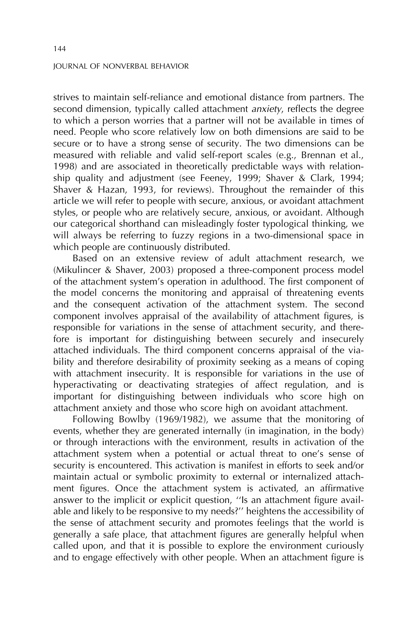strives to maintain self-reliance and emotional distance from partners. The second dimension, typically called attachment anxiety, reflects the degree to which a person worries that a partner will not be available in times of need. People who score relatively low on both dimensions are said to be secure or to have a strong sense of security. The two dimensions can be measured with reliable and valid self-report scales (e.g., Brennan et al., 1998) and are associated in theoretically predictable ways with relationship quality and adjustment (see Feeney, 1999; Shaver & Clark, 1994; Shaver & Hazan, 1993, for reviews). Throughout the remainder of this article we will refer to people with secure, anxious, or avoidant attachment styles, or people who are relatively secure, anxious, or avoidant. Although our categorical shorthand can misleadingly foster typological thinking, we will always be referring to fuzzy regions in a two-dimensional space in which people are continuously distributed.

Based on an extensive review of adult attachment research, we (Mikulincer & Shaver, 2003) proposed a three-component process model of the attachment system's operation in adulthood. The first component of the model concerns the monitoring and appraisal of threatening events and the consequent activation of the attachment system. The second component involves appraisal of the availability of attachment figures, is responsible for variations in the sense of attachment security, and therefore is important for distinguishing between securely and insecurely attached individuals. The third component concerns appraisal of the viability and therefore desirability of proximity seeking as a means of coping with attachment insecurity. It is responsible for variations in the use of hyperactivating or deactivating strategies of affect regulation, and is important for distinguishing between individuals who score high on attachment anxiety and those who score high on avoidant attachment.

Following Bowlby (1969/1982), we assume that the monitoring of events, whether they are generated internally (in imagination, in the body) or through interactions with the environment, results in activation of the attachment system when a potential or actual threat to one's sense of security is encountered. This activation is manifest in efforts to seek and/or maintain actual or symbolic proximity to external or internalized attachment figures. Once the attachment system is activated, an affirmative answer to the implicit or explicit question, ''Is an attachment figure available and likely to be responsive to my needs?'' heightens the accessibility of the sense of attachment security and promotes feelings that the world is generally a safe place, that attachment figures are generally helpful when called upon, and that it is possible to explore the environment curiously and to engage effectively with other people. When an attachment figure is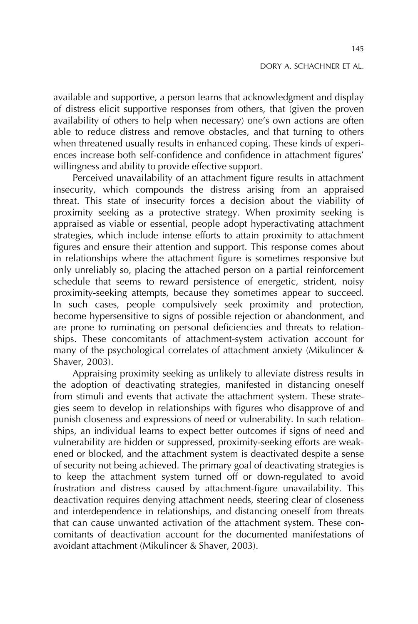available and supportive, a person learns that acknowledgment and display of distress elicit supportive responses from others, that (given the proven availability of others to help when necessary) one's own actions are often able to reduce distress and remove obstacles, and that turning to others when threatened usually results in enhanced coping. These kinds of experiences increase both self-confidence and confidence in attachment figures' willingness and ability to provide effective support.

Perceived unavailability of an attachment figure results in attachment insecurity, which compounds the distress arising from an appraised threat. This state of insecurity forces a decision about the viability of proximity seeking as a protective strategy. When proximity seeking is appraised as viable or essential, people adopt hyperactivating attachment strategies, which include intense efforts to attain proximity to attachment figures and ensure their attention and support. This response comes about in relationships where the attachment figure is sometimes responsive but only unreliably so, placing the attached person on a partial reinforcement schedule that seems to reward persistence of energetic, strident, noisy proximity-seeking attempts, because they sometimes appear to succeed. In such cases, people compulsively seek proximity and protection, become hypersensitive to signs of possible rejection or abandonment, and are prone to ruminating on personal deficiencies and threats to relationships. These concomitants of attachment-system activation account for many of the psychological correlates of attachment anxiety (Mikulincer & Shaver, 2003).

Appraising proximity seeking as unlikely to alleviate distress results in the adoption of deactivating strategies, manifested in distancing oneself from stimuli and events that activate the attachment system. These strategies seem to develop in relationships with figures who disapprove of and punish closeness and expressions of need or vulnerability. In such relationships, an individual learns to expect better outcomes if signs of need and vulnerability are hidden or suppressed, proximity-seeking efforts are weakened or blocked, and the attachment system is deactivated despite a sense of security not being achieved. The primary goal of deactivating strategies is to keep the attachment system turned off or down-regulated to avoid frustration and distress caused by attachment-figure unavailability. This deactivation requires denying attachment needs, steering clear of closeness and interdependence in relationships, and distancing oneself from threats that can cause unwanted activation of the attachment system. These concomitants of deactivation account for the documented manifestations of avoidant attachment (Mikulincer & Shaver, 2003).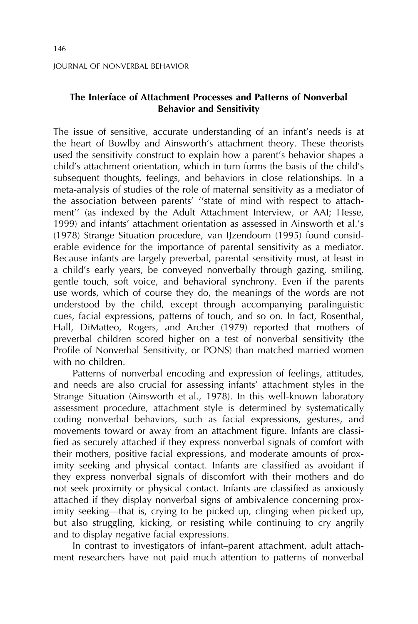# The Interface of Attachment Processes and Patterns of Nonverbal Behavior and Sensitivity

The issue of sensitive, accurate understanding of an infant's needs is at the heart of Bowlby and Ainsworth's attachment theory. These theorists used the sensitivity construct to explain how a parent's behavior shapes a child's attachment orientation, which in turn forms the basis of the child's subsequent thoughts, feelings, and behaviors in close relationships. In a meta-analysis of studies of the role of maternal sensitivity as a mediator of the association between parents' ''state of mind with respect to attachment'' (as indexed by the Adult Attachment Interview, or AAI; Hesse, 1999) and infants' attachment orientation as assessed in Ainsworth et al.'s (1978) Strange Situation procedure, van IJzendoorn (1995) found considerable evidence for the importance of parental sensitivity as a mediator. Because infants are largely preverbal, parental sensitivity must, at least in a child's early years, be conveyed nonverbally through gazing, smiling, gentle touch, soft voice, and behavioral synchrony. Even if the parents use words, which of course they do, the meanings of the words are not understood by the child, except through accompanying paralinguistic cues, facial expressions, patterns of touch, and so on. In fact, Rosenthal, Hall, DiMatteo, Rogers, and Archer (1979) reported that mothers of preverbal children scored higher on a test of nonverbal sensitivity (the Profile of Nonverbal Sensitivity, or PONS) than matched married women with no children.

Patterns of nonverbal encoding and expression of feelings, attitudes, and needs are also crucial for assessing infants' attachment styles in the Strange Situation (Ainsworth et al., 1978). In this well-known laboratory assessment procedure, attachment style is determined by systematically coding nonverbal behaviors, such as facial expressions, gestures, and movements toward or away from an attachment figure. Infants are classified as securely attached if they express nonverbal signals of comfort with their mothers, positive facial expressions, and moderate amounts of proximity seeking and physical contact. Infants are classified as avoidant if they express nonverbal signals of discomfort with their mothers and do not seek proximity or physical contact. Infants are classified as anxiously attached if they display nonverbal signs of ambivalence concerning proximity seeking—that is, crying to be picked up, clinging when picked up, but also struggling, kicking, or resisting while continuing to cry angrily and to display negative facial expressions.

In contrast to investigators of infant–parent attachment, adult attachment researchers have not paid much attention to patterns of nonverbal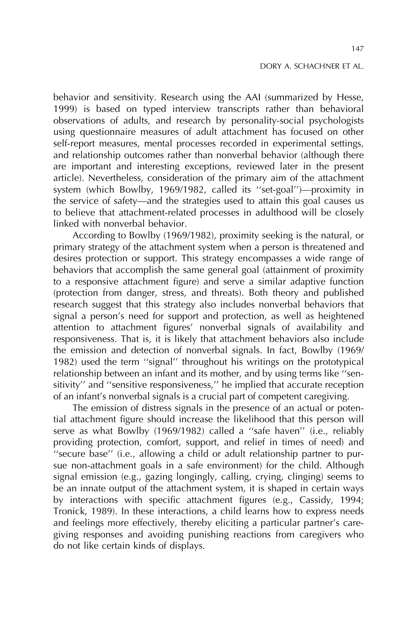behavior and sensitivity. Research using the AAI (summarized by Hesse, 1999) is based on typed interview transcripts rather than behavioral observations of adults, and research by personality-social psychologists using questionnaire measures of adult attachment has focused on other self-report measures, mental processes recorded in experimental settings, and relationship outcomes rather than nonverbal behavior (although there are important and interesting exceptions, reviewed later in the present article). Nevertheless, consideration of the primary aim of the attachment system (which Bowlby, 1969/1982, called its ''set-goal'')—proximity in the service of safety—and the strategies used to attain this goal causes us to believe that attachment-related processes in adulthood will be closely linked with nonverbal behavior.

According to Bowlby (1969/1982), proximity seeking is the natural, or primary strategy of the attachment system when a person is threatened and desires protection or support. This strategy encompasses a wide range of behaviors that accomplish the same general goal (attainment of proximity to a responsive attachment figure) and serve a similar adaptive function (protection from danger, stress, and threats). Both theory and published research suggest that this strategy also includes nonverbal behaviors that signal a person's need for support and protection, as well as heightened attention to attachment figures' nonverbal signals of availability and responsiveness. That is, it is likely that attachment behaviors also include the emission and detection of nonverbal signals. In fact, Bowlby (1969/ 1982) used the term ''signal'' throughout his writings on the prototypical relationship between an infant and its mother, and by using terms like ''sensitivity'' and ''sensitive responsiveness,'' he implied that accurate reception of an infant's nonverbal signals is a crucial part of competent caregiving.

The emission of distress signals in the presence of an actual or potential attachment figure should increase the likelihood that this person will serve as what Bowlby (1969/1982) called a ''safe haven'' (i.e., reliably providing protection, comfort, support, and relief in times of need) and ''secure base'' (i.e., allowing a child or adult relationship partner to pursue non-attachment goals in a safe environment) for the child. Although signal emission (e.g., gazing longingly, calling, crying, clinging) seems to be an innate output of the attachment system, it is shaped in certain ways by interactions with specific attachment figures (e.g., Cassidy, 1994; Tronick, 1989). In these interactions, a child learns how to express needs and feelings more effectively, thereby eliciting a particular partner's caregiving responses and avoiding punishing reactions from caregivers who do not like certain kinds of displays.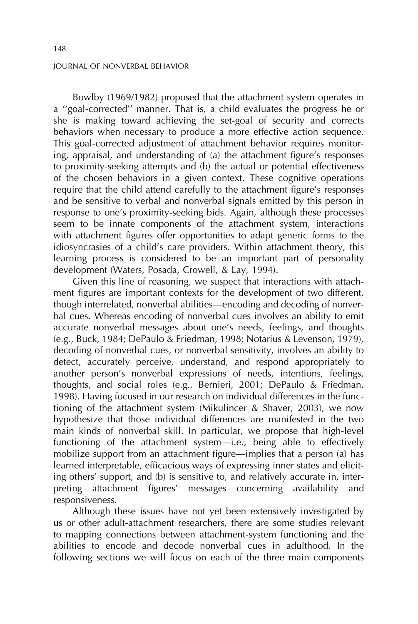Bowlby (1969/1982) proposed that the attachment system operates in a ''goal-corrected'' manner. That is, a child evaluates the progress he or she is making toward achieving the set-goal of security and corrects behaviors when necessary to produce a more effective action sequence. This goal-corrected adjustment of attachment behavior requires monitoring, appraisal, and understanding of (a) the attachment figure's responses to proximity-seeking attempts and (b) the actual or potential effectiveness of the chosen behaviors in a given context. These cognitive operations require that the child attend carefully to the attachment figure's responses and be sensitive to verbal and nonverbal signals emitted by this person in response to one's proximity-seeking bids. Again, although these processes seem to be innate components of the attachment system, interactions with attachment figures offer opportunities to adapt generic forms to the idiosyncrasies of a child's care providers. Within attachment theory, this learning process is considered to be an important part of personality development (Waters, Posada, Crowell, & Lay, 1994).

Given this line of reasoning, we suspect that interactions with attachment figures are important contexts for the development of two different, though interrelated, nonverbal abilities—encoding and decoding of nonverbal cues. Whereas encoding of nonverbal cues involves an ability to emit accurate nonverbal messages about one's needs, feelings, and thoughts (e.g., Buck, 1984; DePaulo & Friedman, 1998; Notarius & Levenson, 1979), decoding of nonverbal cues, or nonverbal sensitivity, involves an ability to detect, accurately perceive, understand, and respond appropriately to another person's nonverbal expressions of needs, intentions, feelings, thoughts, and social roles (e.g., Bernieri, 2001; DePaulo & Friedman, 1998). Having focused in our research on individual differences in the functioning of the attachment system (Mikulincer & Shaver, 2003), we now hypothesize that those individual differences are manifested in the two main kinds of nonverbal skill. In particular, we propose that high-level functioning of the attachment system—i.e., being able to effectively mobilize support from an attachment figure—implies that a person (a) has learned interpretable, efficacious ways of expressing inner states and eliciting others' support, and (b) is sensitive to, and relatively accurate in, interpreting attachment figures' messages concerning availability and responsiveness.

Although these issues have not yet been extensively investigated by us or other adult-attachment researchers, there are some studies relevant to mapping connections between attachment-system functioning and the abilities to encode and decode nonverbal cues in adulthood. In the following sections we will focus on each of the three main components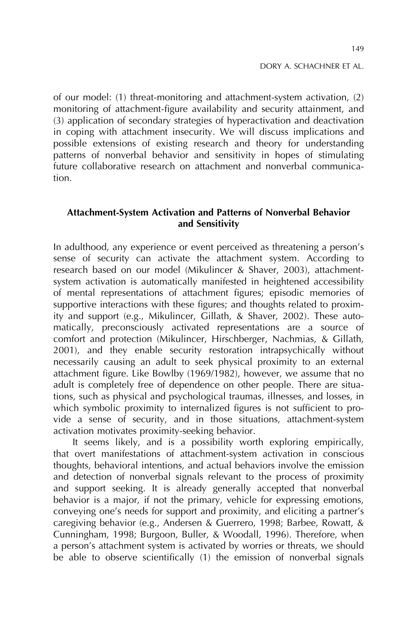of our model: (1) threat-monitoring and attachment-system activation, (2) monitoring of attachment-figure availability and security attainment, and (3) application of secondary strategies of hyperactivation and deactivation in coping with attachment insecurity. We will discuss implications and possible extensions of existing research and theory for understanding patterns of nonverbal behavior and sensitivity in hopes of stimulating future collaborative research on attachment and nonverbal communication.

# Attachment-System Activation and Patterns of Nonverbal Behavior and Sensitivity

In adulthood, any experience or event perceived as threatening a person's sense of security can activate the attachment system. According to research based on our model (Mikulincer & Shaver, 2003), attachmentsystem activation is automatically manifested in heightened accessibility of mental representations of attachment figures; episodic memories of supportive interactions with these figures; and thoughts related to proximity and support (e.g., Mikulincer, Gillath, & Shaver, 2002). These automatically, preconsciously activated representations are a source of comfort and protection (Mikulincer, Hirschberger, Nachmias, & Gillath, 2001), and they enable security restoration intrapsychically without necessarily causing an adult to seek physical proximity to an external attachment figure. Like Bowlby (1969/1982), however, we assume that no adult is completely free of dependence on other people. There are situations, such as physical and psychological traumas, illnesses, and losses, in which symbolic proximity to internalized figures is not sufficient to provide a sense of security, and in those situations, attachment-system activation motivates proximity-seeking behavior.

It seems likely, and is a possibility worth exploring empirically, that overt manifestations of attachment-system activation in conscious thoughts, behavioral intentions, and actual behaviors involve the emission and detection of nonverbal signals relevant to the process of proximity and support seeking. It is already generally accepted that nonverbal behavior is a major, if not the primary, vehicle for expressing emotions, conveying one's needs for support and proximity, and eliciting a partner's caregiving behavior (e.g., Andersen & Guerrero, 1998; Barbee, Rowatt, & Cunningham, 1998; Burgoon, Buller, & Woodall, 1996). Therefore, when a person's attachment system is activated by worries or threats, we should be able to observe scientifically (1) the emission of nonverbal signals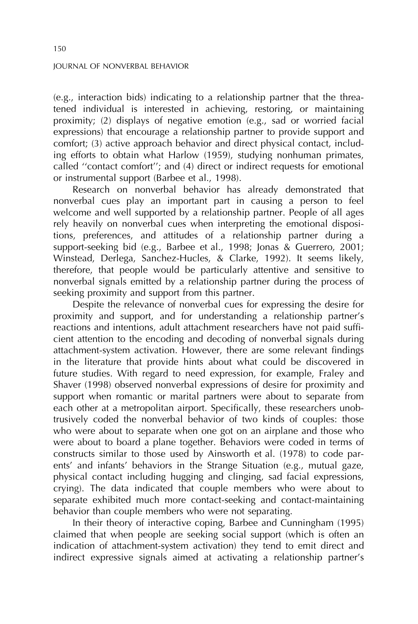(e.g., interaction bids) indicating to a relationship partner that the threatened individual is interested in achieving, restoring, or maintaining proximity; (2) displays of negative emotion (e.g., sad or worried facial expressions) that encourage a relationship partner to provide support and comfort; (3) active approach behavior and direct physical contact, including efforts to obtain what Harlow (1959), studying nonhuman primates, called ''contact comfort''; and (4) direct or indirect requests for emotional or instrumental support (Barbee et al., 1998).

Research on nonverbal behavior has already demonstrated that nonverbal cues play an important part in causing a person to feel welcome and well supported by a relationship partner. People of all ages rely heavily on nonverbal cues when interpreting the emotional dispositions, preferences, and attitudes of a relationship partner during a support-seeking bid (e.g., Barbee et al., 1998; Jonas & Guerrero, 2001; Winstead, Derlega, Sanchez-Hucles, & Clarke, 1992). It seems likely, therefore, that people would be particularly attentive and sensitive to nonverbal signals emitted by a relationship partner during the process of seeking proximity and support from this partner.

Despite the relevance of nonverbal cues for expressing the desire for proximity and support, and for understanding a relationship partner's reactions and intentions, adult attachment researchers have not paid sufficient attention to the encoding and decoding of nonverbal signals during attachment-system activation. However, there are some relevant findings in the literature that provide hints about what could be discovered in future studies. With regard to need expression, for example, Fraley and Shaver (1998) observed nonverbal expressions of desire for proximity and support when romantic or marital partners were about to separate from each other at a metropolitan airport. Specifically, these researchers unobtrusively coded the nonverbal behavior of two kinds of couples: those who were about to separate when one got on an airplane and those who were about to board a plane together. Behaviors were coded in terms of constructs similar to those used by Ainsworth et al. (1978) to code parents' and infants' behaviors in the Strange Situation (e.g., mutual gaze, physical contact including hugging and clinging, sad facial expressions, crying). The data indicated that couple members who were about to separate exhibited much more contact-seeking and contact-maintaining behavior than couple members who were not separating.

In their theory of interactive coping, Barbee and Cunningham (1995) claimed that when people are seeking social support (which is often an indication of attachment-system activation) they tend to emit direct and indirect expressive signals aimed at activating a relationship partner's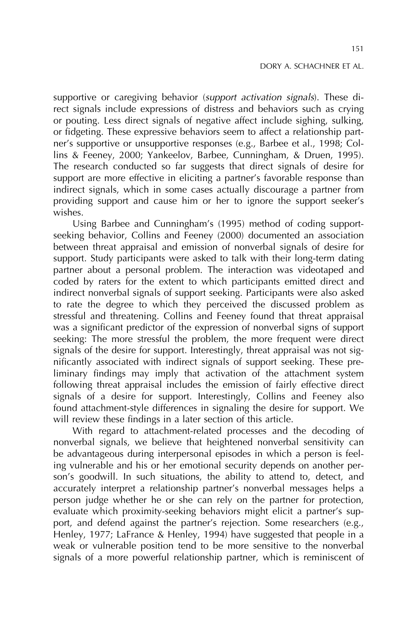supportive or caregiving behavior (support activation signals). These direct signals include expressions of distress and behaviors such as crying or pouting. Less direct signals of negative affect include sighing, sulking, or fidgeting. These expressive behaviors seem to affect a relationship partner's supportive or unsupportive responses (e.g., Barbee et al., 1998; Collins & Feeney, 2000; Yankeelov, Barbee, Cunningham, & Druen, 1995). The research conducted so far suggests that direct signals of desire for support are more effective in eliciting a partner's favorable response than indirect signals, which in some cases actually discourage a partner from providing support and cause him or her to ignore the support seeker's wishes.

Using Barbee and Cunningham's (1995) method of coding supportseeking behavior, Collins and Feeney (2000) documented an association between threat appraisal and emission of nonverbal signals of desire for support. Study participants were asked to talk with their long-term dating partner about a personal problem. The interaction was videotaped and coded by raters for the extent to which participants emitted direct and indirect nonverbal signals of support seeking. Participants were also asked to rate the degree to which they perceived the discussed problem as stressful and threatening. Collins and Feeney found that threat appraisal was a significant predictor of the expression of nonverbal signs of support seeking: The more stressful the problem, the more frequent were direct signals of the desire for support. Interestingly, threat appraisal was not significantly associated with indirect signals of support seeking. These preliminary findings may imply that activation of the attachment system following threat appraisal includes the emission of fairly effective direct signals of a desire for support. Interestingly, Collins and Feeney also found attachment-style differences in signaling the desire for support. We will review these findings in a later section of this article.

With regard to attachment-related processes and the decoding of nonverbal signals, we believe that heightened nonverbal sensitivity can be advantageous during interpersonal episodes in which a person is feeling vulnerable and his or her emotional security depends on another person's goodwill. In such situations, the ability to attend to, detect, and accurately interpret a relationship partner's nonverbal messages helps a person judge whether he or she can rely on the partner for protection, evaluate which proximity-seeking behaviors might elicit a partner's support, and defend against the partner's rejection. Some researchers (e.g., Henley, 1977; LaFrance & Henley, 1994) have suggested that people in a weak or vulnerable position tend to be more sensitive to the nonverbal signals of a more powerful relationship partner, which is reminiscent of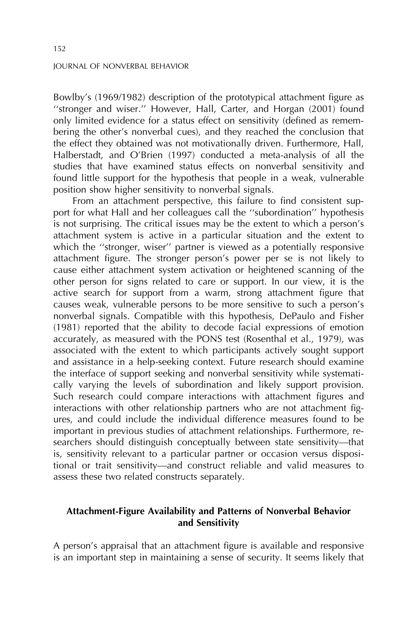Bowlby's (1969/1982) description of the prototypical attachment figure as "stronger and wiser." However, Hall, Carter, and Horgan (2001) found only limited evidence for a status effect on sensitivity (defined as remembering the other's nonverbal cues), and they reached the conclusion that the effect they obtained was not motivationally driven. Furthermore, Hall, Halberstadt, and O'Brien (1997) conducted a meta-analysis of all the studies that have examined status effects on nonverbal sensitivity and found little support for the hypothesis that people in a weak, vulnerable position show higher sensitivity to nonverbal signals.

From an attachment perspective, this failure to find consistent support for what Hall and her colleagues call the ''subordination'' hypothesis is not surprising. The critical issues may be the extent to which a person's attachment system is active in a particular situation and the extent to which the "stronger, wiser" partner is viewed as a potentially responsive attachment figure. The stronger person's power per se is not likely to cause either attachment system activation or heightened scanning of the other person for signs related to care or support. In our view, it is the active search for support from a warm, strong attachment figure that causes weak, vulnerable persons to be more sensitive to such a person's nonverbal signals. Compatible with this hypothesis, DePaulo and Fisher (1981) reported that the ability to decode facial expressions of emotion accurately, as measured with the PONS test (Rosenthal et al., 1979), was associated with the extent to which participants actively sought support and assistance in a help-seeking context. Future research should examine the interface of support seeking and nonverbal sensitivity while systematically varying the levels of subordination and likely support provision. Such research could compare interactions with attachment figures and interactions with other relationship partners who are not attachment figures, and could include the individual difference measures found to be important in previous studies of attachment relationships. Furthermore, researchers should distinguish conceptually between state sensitivity—that is, sensitivity relevant to a particular partner or occasion versus dispositional or trait sensitivity—and construct reliable and valid measures to assess these two related constructs separately.

# Attachment-Figure Availability and Patterns of Nonverbal Behavior and Sensitivity

A person's appraisal that an attachment figure is available and responsive is an important step in maintaining a sense of security. It seems likely that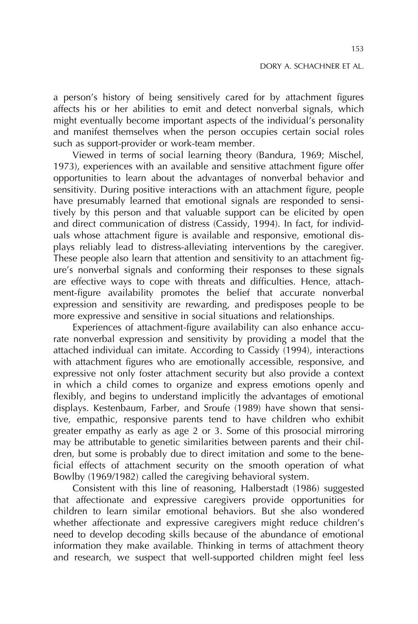a person's history of being sensitively cared for by attachment figures affects his or her abilities to emit and detect nonverbal signals, which might eventually become important aspects of the individual's personality and manifest themselves when the person occupies certain social roles such as support-provider or work-team member.

Viewed in terms of social learning theory (Bandura, 1969; Mischel, 1973), experiences with an available and sensitive attachment figure offer opportunities to learn about the advantages of nonverbal behavior and sensitivity. During positive interactions with an attachment figure, people have presumably learned that emotional signals are responded to sensitively by this person and that valuable support can be elicited by open and direct communication of distress (Cassidy, 1994). In fact, for individuals whose attachment figure is available and responsive, emotional displays reliably lead to distress-alleviating interventions by the caregiver. These people also learn that attention and sensitivity to an attachment figure's nonverbal signals and conforming their responses to these signals are effective ways to cope with threats and difficulties. Hence, attachment-figure availability promotes the belief that accurate nonverbal expression and sensitivity are rewarding, and predisposes people to be more expressive and sensitive in social situations and relationships.

Experiences of attachment-figure availability can also enhance accurate nonverbal expression and sensitivity by providing a model that the attached individual can imitate. According to Cassidy (1994), interactions with attachment figures who are emotionally accessible, responsive, and expressive not only foster attachment security but also provide a context in which a child comes to organize and express emotions openly and flexibly, and begins to understand implicitly the advantages of emotional displays. Kestenbaum, Farber, and Sroufe (1989) have shown that sensitive, empathic, responsive parents tend to have children who exhibit greater empathy as early as age 2 or 3. Some of this prosocial mirroring may be attributable to genetic similarities between parents and their children, but some is probably due to direct imitation and some to the beneficial effects of attachment security on the smooth operation of what Bowlby (1969/1982) called the caregiving behavioral system.

Consistent with this line of reasoning, Halberstadt (1986) suggested that affectionate and expressive caregivers provide opportunities for children to learn similar emotional behaviors. But she also wondered whether affectionate and expressive caregivers might reduce children's need to develop decoding skills because of the abundance of emotional information they make available. Thinking in terms of attachment theory and research, we suspect that well-supported children might feel less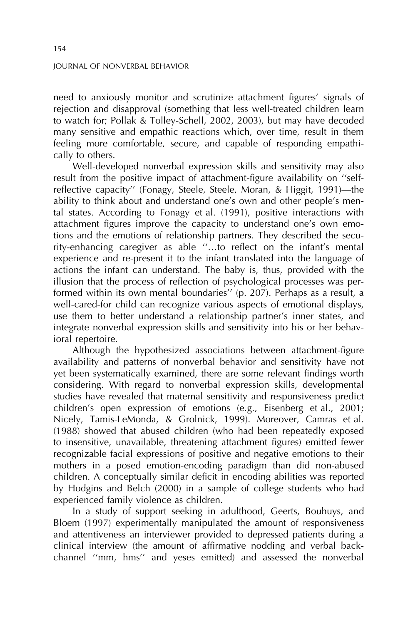need to anxiously monitor and scrutinize attachment figures' signals of rejection and disapproval (something that less well-treated children learn to watch for; Pollak & Tolley-Schell, 2002, 2003), but may have decoded many sensitive and empathic reactions which, over time, result in them feeling more comfortable, secure, and capable of responding empathically to others.

Well-developed nonverbal expression skills and sensitivity may also result from the positive impact of attachment-figure availability on ''selfreflective capacity'' (Fonagy, Steele, Steele, Moran, & Higgit, 1991)—the ability to think about and understand one's own and other people's mental states. According to Fonagy et al. (1991), positive interactions with attachment figures improve the capacity to understand one's own emotions and the emotions of relationship partners. They described the security-enhancing caregiver as able ''…to reflect on the infant's mental experience and re-present it to the infant translated into the language of actions the infant can understand. The baby is, thus, provided with the illusion that the process of reflection of psychological processes was performed within its own mental boundaries'' (p. 207). Perhaps as a result, a well-cared-for child can recognize various aspects of emotional displays, use them to better understand a relationship partner's inner states, and integrate nonverbal expression skills and sensitivity into his or her behavioral repertoire.

Although the hypothesized associations between attachment-figure availability and patterns of nonverbal behavior and sensitivity have not yet been systematically examined, there are some relevant findings worth considering. With regard to nonverbal expression skills, developmental studies have revealed that maternal sensitivity and responsiveness predict children's open expression of emotions (e.g., Eisenberg et al., 2001; Nicely, Tamis-LeMonda, & Grolnick, 1999). Moreover, Camras et al. (1988) showed that abused children (who had been repeatedly exposed to insensitive, unavailable, threatening attachment figures) emitted fewer recognizable facial expressions of positive and negative emotions to their mothers in a posed emotion-encoding paradigm than did non-abused children. A conceptually similar deficit in encoding abilities was reported by Hodgins and Belch (2000) in a sample of college students who had experienced family violence as children.

In a study of support seeking in adulthood, Geerts, Bouhuys, and Bloem (1997) experimentally manipulated the amount of responsiveness and attentiveness an interviewer provided to depressed patients during a clinical interview (the amount of affirmative nodding and verbal backchannel ''mm, hms'' and yeses emitted) and assessed the nonverbal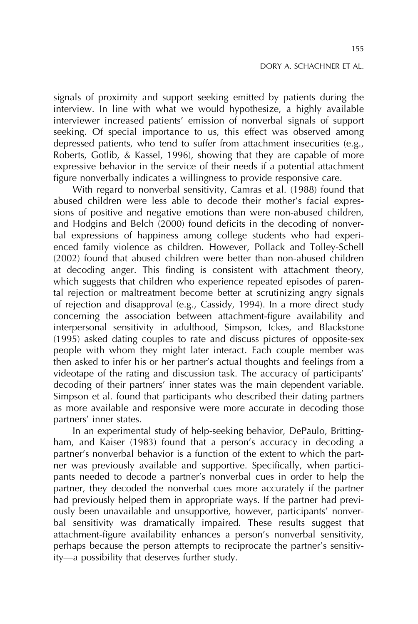signals of proximity and support seeking emitted by patients during the interview. In line with what we would hypothesize, a highly available interviewer increased patients' emission of nonverbal signals of support seeking. Of special importance to us, this effect was observed among depressed patients, who tend to suffer from attachment insecurities (e.g., Roberts, Gotlib, & Kassel, 1996), showing that they are capable of more expressive behavior in the service of their needs if a potential attachment figure nonverbally indicates a willingness to provide responsive care.

With regard to nonverbal sensitivity, Camras et al. (1988) found that abused children were less able to decode their mother's facial expressions of positive and negative emotions than were non-abused children, and Hodgins and Belch (2000) found deficits in the decoding of nonverbal expressions of happiness among college students who had experienced family violence as children. However, Pollack and Tolley-Schell (2002) found that abused children were better than non-abused children at decoding anger. This finding is consistent with attachment theory, which suggests that children who experience repeated episodes of parental rejection or maltreatment become better at scrutinizing angry signals of rejection and disapproval (e.g., Cassidy, 1994). In a more direct study concerning the association between attachment-figure availability and interpersonal sensitivity in adulthood, Simpson, Ickes, and Blackstone (1995) asked dating couples to rate and discuss pictures of opposite-sex people with whom they might later interact. Each couple member was then asked to infer his or her partner's actual thoughts and feelings from a videotape of the rating and discussion task. The accuracy of participants' decoding of their partners' inner states was the main dependent variable. Simpson et al. found that participants who described their dating partners as more available and responsive were more accurate in decoding those partners' inner states.

In an experimental study of help-seeking behavior, DePaulo, Brittingham, and Kaiser (1983) found that a person's accuracy in decoding a partner's nonverbal behavior is a function of the extent to which the partner was previously available and supportive. Specifically, when participants needed to decode a partner's nonverbal cues in order to help the partner, they decoded the nonverbal cues more accurately if the partner had previously helped them in appropriate ways. If the partner had previously been unavailable and unsupportive, however, participants' nonverbal sensitivity was dramatically impaired. These results suggest that attachment-figure availability enhances a person's nonverbal sensitivity, perhaps because the person attempts to reciprocate the partner's sensitivity—a possibility that deserves further study.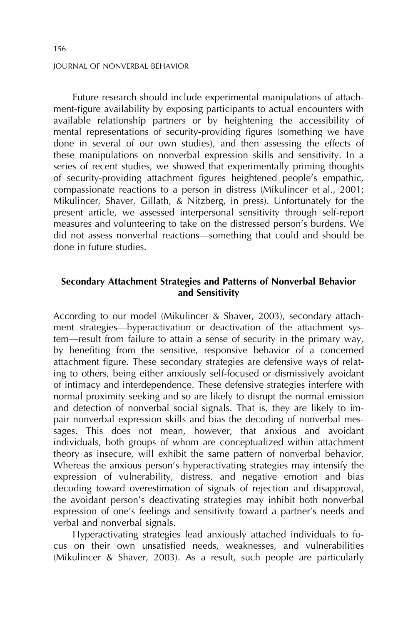Future research should include experimental manipulations of attachment-figure availability by exposing participants to actual encounters with available relationship partners or by heightening the accessibility of mental representations of security-providing figures (something we have done in several of our own studies), and then assessing the effects of these manipulations on nonverbal expression skills and sensitivity. In a series of recent studies, we showed that experimentally priming thoughts of security-providing attachment figures heightened people's empathic, compassionate reactions to a person in distress (Mikulincer et al., 2001; Mikulincer, Shaver, Gillath, & Nitzberg, in press). Unfortunately for the present article, we assessed interpersonal sensitivity through self-report measures and volunteering to take on the distressed person's burdens. We did not assess nonverbal reactions—something that could and should be done in future studies.

# Secondary Attachment Strategies and Patterns of Nonverbal Behavior and Sensitivity

According to our model (Mikulincer & Shaver, 2003), secondary attachment strategies—hyperactivation or deactivation of the attachment system—result from failure to attain a sense of security in the primary way, by benefiting from the sensitive, responsive behavior of a concerned attachment figure. These secondary strategies are defensive ways of relating to others, being either anxiously self-focused or dismissively avoidant of intimacy and interdependence. These defensive strategies interfere with normal proximity seeking and so are likely to disrupt the normal emission and detection of nonverbal social signals. That is, they are likely to impair nonverbal expression skills and bias the decoding of nonverbal messages. This does not mean, however, that anxious and avoidant individuals, both groups of whom are conceptualized within attachment theory as insecure, will exhibit the same pattern of nonverbal behavior. Whereas the anxious person's hyperactivating strategies may intensify the expression of vulnerability, distress, and negative emotion and bias decoding toward overestimation of signals of rejection and disapproval, the avoidant person's deactivating strategies may inhibit both nonverbal expression of one's feelings and sensitivity toward a partner's needs and verbal and nonverbal signals.

Hyperactivating strategies lead anxiously attached individuals to focus on their own unsatisfied needs, weaknesses, and vulnerabilities (Mikulincer & Shaver, 2003). As a result, such people are particularly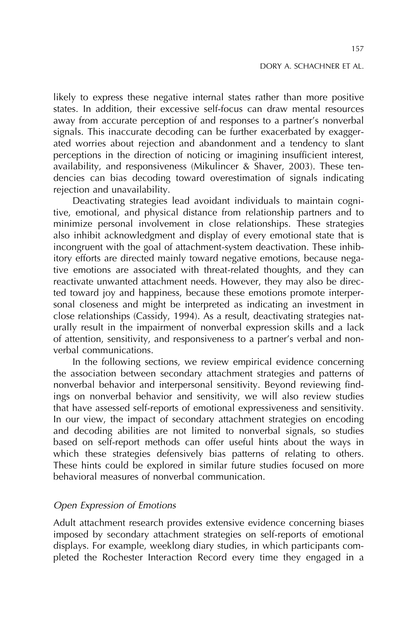likely to express these negative internal states rather than more positive states. In addition, their excessive self-focus can draw mental resources away from accurate perception of and responses to a partner's nonverbal signals. This inaccurate decoding can be further exacerbated by exaggerated worries about rejection and abandonment and a tendency to slant perceptions in the direction of noticing or imagining insufficient interest, availability, and responsiveness (Mikulincer & Shaver, 2003). These tendencies can bias decoding toward overestimation of signals indicating rejection and unavailability.

Deactivating strategies lead avoidant individuals to maintain cognitive, emotional, and physical distance from relationship partners and to minimize personal involvement in close relationships. These strategies also inhibit acknowledgment and display of every emotional state that is incongruent with the goal of attachment-system deactivation. These inhibitory efforts are directed mainly toward negative emotions, because negative emotions are associated with threat-related thoughts, and they can reactivate unwanted attachment needs. However, they may also be directed toward joy and happiness, because these emotions promote interpersonal closeness and might be interpreted as indicating an investment in close relationships (Cassidy, 1994). As a result, deactivating strategies naturally result in the impairment of nonverbal expression skills and a lack of attention, sensitivity, and responsiveness to a partner's verbal and nonverbal communications.

In the following sections, we review empirical evidence concerning the association between secondary attachment strategies and patterns of nonverbal behavior and interpersonal sensitivity. Beyond reviewing findings on nonverbal behavior and sensitivity, we will also review studies that have assessed self-reports of emotional expressiveness and sensitivity. In our view, the impact of secondary attachment strategies on encoding and decoding abilities are not limited to nonverbal signals, so studies based on self-report methods can offer useful hints about the ways in which these strategies defensively bias patterns of relating to others. These hints could be explored in similar future studies focused on more behavioral measures of nonverbal communication.

## Open Expression of Emotions

Adult attachment research provides extensive evidence concerning biases imposed by secondary attachment strategies on self-reports of emotional displays. For example, weeklong diary studies, in which participants completed the Rochester Interaction Record every time they engaged in a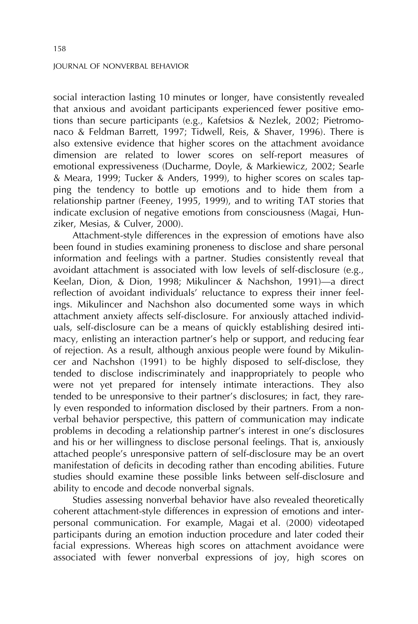social interaction lasting 10 minutes or longer, have consistently revealed that anxious and avoidant participants experienced fewer positive emotions than secure participants (e.g., Kafetsios & Nezlek, 2002; Pietromonaco & Feldman Barrett, 1997; Tidwell, Reis, & Shaver, 1996). There is also extensive evidence that higher scores on the attachment avoidance dimension are related to lower scores on self-report measures of emotional expressiveness (Ducharme, Doyle, & Markiewicz, 2002; Searle & Meara, 1999; Tucker & Anders, 1999), to higher scores on scales tapping the tendency to bottle up emotions and to hide them from a relationship partner (Feeney, 1995, 1999), and to writing TAT stories that indicate exclusion of negative emotions from consciousness (Magai, Hunziker, Mesias, & Culver, 2000).

Attachment-style differences in the expression of emotions have also been found in studies examining proneness to disclose and share personal information and feelings with a partner. Studies consistently reveal that avoidant attachment is associated with low levels of self-disclosure (e.g., Keelan, Dion, & Dion, 1998; Mikulincer & Nachshon, 1991)—a direct reflection of avoidant individuals' reluctance to express their inner feelings. Mikulincer and Nachshon also documented some ways in which attachment anxiety affects self-disclosure. For anxiously attached individuals, self-disclosure can be a means of quickly establishing desired intimacy, enlisting an interaction partner's help or support, and reducing fear of rejection. As a result, although anxious people were found by Mikulincer and Nachshon (1991) to be highly disposed to self-disclose, they tended to disclose indiscriminately and inappropriately to people who were not yet prepared for intensely intimate interactions. They also tended to be unresponsive to their partner's disclosures; in fact, they rarely even responded to information disclosed by their partners. From a nonverbal behavior perspective, this pattern of communication may indicate problems in decoding a relationship partner's interest in one's disclosures and his or her willingness to disclose personal feelings. That is, anxiously attached people's unresponsive pattern of self-disclosure may be an overt manifestation of deficits in decoding rather than encoding abilities. Future studies should examine these possible links between self-disclosure and ability to encode and decode nonverbal signals.

Studies assessing nonverbal behavior have also revealed theoretically coherent attachment-style differences in expression of emotions and interpersonal communication. For example, Magai et al. (2000) videotaped participants during an emotion induction procedure and later coded their facial expressions. Whereas high scores on attachment avoidance were associated with fewer nonverbal expressions of joy, high scores on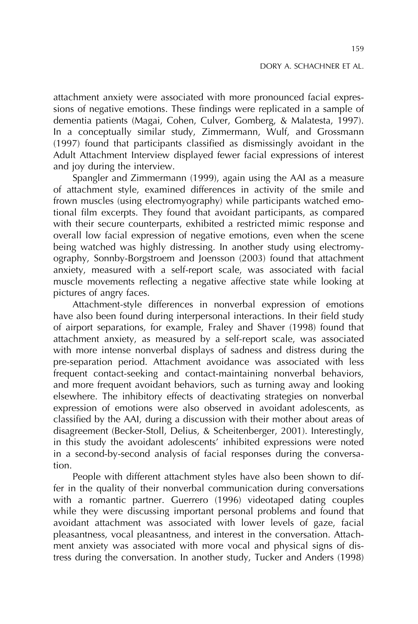attachment anxiety were associated with more pronounced facial expressions of negative emotions. These findings were replicated in a sample of dementia patients (Magai, Cohen, Culver, Gomberg, & Malatesta, 1997). In a conceptually similar study, Zimmermann, Wulf, and Grossmann (1997) found that participants classified as dismissingly avoidant in the Adult Attachment Interview displayed fewer facial expressions of interest and joy during the interview.

Spangler and Zimmermann (1999), again using the AAI as a measure of attachment style, examined differences in activity of the smile and frown muscles (using electromyography) while participants watched emotional film excerpts. They found that avoidant participants, as compared with their secure counterparts, exhibited a restricted mimic response and overall low facial expression of negative emotions, even when the scene being watched was highly distressing. In another study using electromyography, Sonnby-Borgstroem and Joensson (2003) found that attachment anxiety, measured with a self-report scale, was associated with facial muscle movements reflecting a negative affective state while looking at pictures of angry faces.

Attachment-style differences in nonverbal expression of emotions have also been found during interpersonal interactions. In their field study of airport separations, for example, Fraley and Shaver (1998) found that attachment anxiety, as measured by a self-report scale, was associated with more intense nonverbal displays of sadness and distress during the pre-separation period. Attachment avoidance was associated with less frequent contact-seeking and contact-maintaining nonverbal behaviors, and more frequent avoidant behaviors, such as turning away and looking elsewhere. The inhibitory effects of deactivating strategies on nonverbal expression of emotions were also observed in avoidant adolescents, as classified by the AAI, during a discussion with their mother about areas of disagreement (Becker-Stoll, Delius, & Scheitenberger, 2001). Interestingly, in this study the avoidant adolescents' inhibited expressions were noted in a second-by-second analysis of facial responses during the conversation.

People with different attachment styles have also been shown to differ in the quality of their nonverbal communication during conversations with a romantic partner. Guerrero (1996) videotaped dating couples while they were discussing important personal problems and found that avoidant attachment was associated with lower levels of gaze, facial pleasantness, vocal pleasantness, and interest in the conversation. Attachment anxiety was associated with more vocal and physical signs of distress during the conversation. In another study, Tucker and Anders (1998)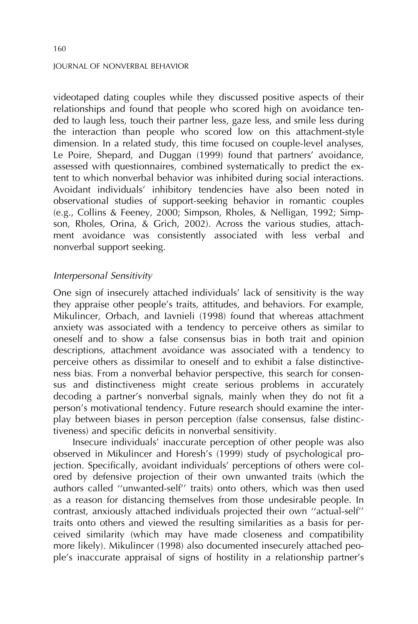videotaped dating couples while they discussed positive aspects of their relationships and found that people who scored high on avoidance tended to laugh less, touch their partner less, gaze less, and smile less during the interaction than people who scored low on this attachment-style dimension. In a related study, this time focused on couple-level analyses, Le Poire, Shepard, and Duggan (1999) found that partners' avoidance, assessed with questionnaires, combined systematically to predict the extent to which nonverbal behavior was inhibited during social interactions. Avoidant individuals' inhibitory tendencies have also been noted in observational studies of support-seeking behavior in romantic couples (e.g., Collins & Feeney, 2000; Simpson, Rholes, & Nelligan, 1992; Simpson, Rholes, Orina, & Grich, 2002). Across the various studies, attachment avoidance was consistently associated with less verbal and nonverbal support seeking.

# Interpersonal Sensitivity

One sign of insecurely attached individuals' lack of sensitivity is the way they appraise other people's traits, attitudes, and behaviors. For example, Mikulincer, Orbach, and Iavnieli (1998) found that whereas attachment anxiety was associated with a tendency to perceive others as similar to oneself and to show a false consensus bias in both trait and opinion descriptions, attachment avoidance was associated with a tendency to perceive others as dissimilar to oneself and to exhibit a false distinctiveness bias. From a nonverbal behavior perspective, this search for consensus and distinctiveness might create serious problems in accurately decoding a partner's nonverbal signals, mainly when they do not fit a person's motivational tendency. Future research should examine the interplay between biases in person perception (false consensus, false distinctiveness) and specific deficits in nonverbal sensitivity.

Insecure individuals' inaccurate perception of other people was also observed in Mikulincer and Horesh's (1999) study of psychological projection. Specifically, avoidant individuals' perceptions of others were colored by defensive projection of their own unwanted traits (which the authors called ''unwanted-self'' traits) onto others, which was then used as a reason for distancing themselves from those undesirable people. In contrast, anxiously attached individuals projected their own ''actual-self'' traits onto others and viewed the resulting similarities as a basis for perceived similarity (which may have made closeness and compatibility more likely). Mikulincer (1998) also documented insecurely attached people's inaccurate appraisal of signs of hostility in a relationship partner's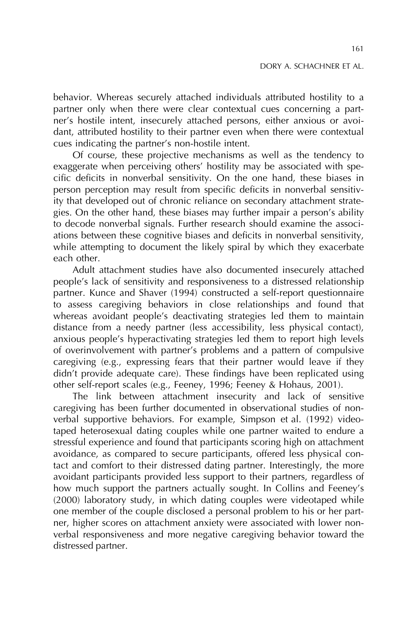behavior. Whereas securely attached individuals attributed hostility to a partner only when there were clear contextual cues concerning a partner's hostile intent, insecurely attached persons, either anxious or avoidant, attributed hostility to their partner even when there were contextual cues indicating the partner's non-hostile intent.

Of course, these projective mechanisms as well as the tendency to exaggerate when perceiving others' hostility may be associated with specific deficits in nonverbal sensitivity. On the one hand, these biases in person perception may result from specific deficits in nonverbal sensitivity that developed out of chronic reliance on secondary attachment strategies. On the other hand, these biases may further impair a person's ability to decode nonverbal signals. Further research should examine the associations between these cognitive biases and deficits in nonverbal sensitivity, while attempting to document the likely spiral by which they exacerbate each other.

Adult attachment studies have also documented insecurely attached people's lack of sensitivity and responsiveness to a distressed relationship partner. Kunce and Shaver (1994) constructed a self-report questionnaire to assess caregiving behaviors in close relationships and found that whereas avoidant people's deactivating strategies led them to maintain distance from a needy partner (less accessibility, less physical contact), anxious people's hyperactivating strategies led them to report high levels of overinvolvement with partner's problems and a pattern of compulsive caregiving (e.g., expressing fears that their partner would leave if they didn't provide adequate care). These findings have been replicated using other self-report scales (e.g., Feeney, 1996; Feeney & Hohaus, 2001).

The link between attachment insecurity and lack of sensitive caregiving has been further documented in observational studies of nonverbal supportive behaviors. For example, Simpson et al. (1992) videotaped heterosexual dating couples while one partner waited to endure a stressful experience and found that participants scoring high on attachment avoidance, as compared to secure participants, offered less physical contact and comfort to their distressed dating partner. Interestingly, the more avoidant participants provided less support to their partners, regardless of how much support the partners actually sought. In Collins and Feeney's (2000) laboratory study, in which dating couples were videotaped while one member of the couple disclosed a personal problem to his or her partner, higher scores on attachment anxiety were associated with lower nonverbal responsiveness and more negative caregiving behavior toward the distressed partner.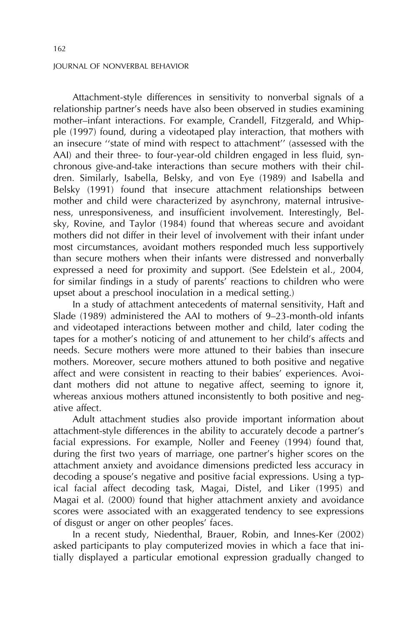Attachment-style differences in sensitivity to nonverbal signals of a relationship partner's needs have also been observed in studies examining mother–infant interactions. For example, Crandell, Fitzgerald, and Whipple (1997) found, during a videotaped play interaction, that mothers with an insecure ''state of mind with respect to attachment'' (assessed with the AAI) and their three- to four-year-old children engaged in less fluid, synchronous give-and-take interactions than secure mothers with their children. Similarly, Isabella, Belsky, and von Eye (1989) and Isabella and Belsky (1991) found that insecure attachment relationships between mother and child were characterized by asynchrony, maternal intrusiveness, unresponsiveness, and insufficient involvement. Interestingly, Belsky, Rovine, and Taylor (1984) found that whereas secure and avoidant mothers did not differ in their level of involvement with their infant under most circumstances, avoidant mothers responded much less supportively than secure mothers when their infants were distressed and nonverbally expressed a need for proximity and support. (See Edelstein et al., 2004, for similar findings in a study of parents' reactions to children who were upset about a preschool inoculation in a medical setting.)

In a study of attachment antecedents of maternal sensitivity, Haft and Slade (1989) administered the AAI to mothers of 9–23-month-old infants and videotaped interactions between mother and child, later coding the tapes for a mother's noticing of and attunement to her child's affects and needs. Secure mothers were more attuned to their babies than insecure mothers. Moreover, secure mothers attuned to both positive and negative affect and were consistent in reacting to their babies' experiences. Avoidant mothers did not attune to negative affect, seeming to ignore it, whereas anxious mothers attuned inconsistently to both positive and negative affect.

Adult attachment studies also provide important information about attachment-style differences in the ability to accurately decode a partner's facial expressions. For example, Noller and Feeney (1994) found that, during the first two years of marriage, one partner's higher scores on the attachment anxiety and avoidance dimensions predicted less accuracy in decoding a spouse's negative and positive facial expressions. Using a typical facial affect decoding task, Magai, Distel, and Liker (1995) and Magai et al. (2000) found that higher attachment anxiety and avoidance scores were associated with an exaggerated tendency to see expressions of disgust or anger on other peoples' faces.

In a recent study, Niedenthal, Brauer, Robin, and Innes-Ker (2002) asked participants to play computerized movies in which a face that initially displayed a particular emotional expression gradually changed to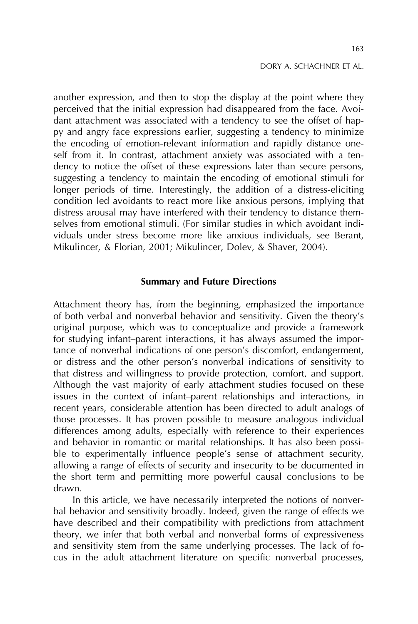another expression, and then to stop the display at the point where they perceived that the initial expression had disappeared from the face. Avoidant attachment was associated with a tendency to see the offset of happy and angry face expressions earlier, suggesting a tendency to minimize the encoding of emotion-relevant information and rapidly distance oneself from it. In contrast, attachment anxiety was associated with a tendency to notice the offset of these expressions later than secure persons, suggesting a tendency to maintain the encoding of emotional stimuli for longer periods of time. Interestingly, the addition of a distress-eliciting condition led avoidants to react more like anxious persons, implying that distress arousal may have interfered with their tendency to distance themselves from emotional stimuli. (For similar studies in which avoidant individuals under stress become more like anxious individuals, see Berant, Mikulincer, & Florian, 2001; Mikulincer, Dolev, & Shaver, 2004).

## Summary and Future Directions

Attachment theory has, from the beginning, emphasized the importance of both verbal and nonverbal behavior and sensitivity. Given the theory's original purpose, which was to conceptualize and provide a framework for studying infant–parent interactions, it has always assumed the importance of nonverbal indications of one person's discomfort, endangerment, or distress and the other person's nonverbal indications of sensitivity to that distress and willingness to provide protection, comfort, and support. Although the vast majority of early attachment studies focused on these issues in the context of infant–parent relationships and interactions, in recent years, considerable attention has been directed to adult analogs of those processes. It has proven possible to measure analogous individual differences among adults, especially with reference to their experiences and behavior in romantic or marital relationships. It has also been possible to experimentally influence people's sense of attachment security, allowing a range of effects of security and insecurity to be documented in the short term and permitting more powerful causal conclusions to be drawn.

In this article, we have necessarily interpreted the notions of nonverbal behavior and sensitivity broadly. Indeed, given the range of effects we have described and their compatibility with predictions from attachment theory, we infer that both verbal and nonverbal forms of expressiveness and sensitivity stem from the same underlying processes. The lack of focus in the adult attachment literature on specific nonverbal processes,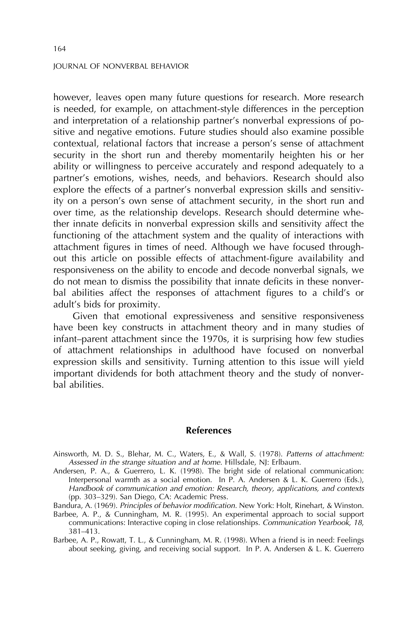however, leaves open many future questions for research. More research is needed, for example, on attachment-style differences in the perception and interpretation of a relationship partner's nonverbal expressions of positive and negative emotions. Future studies should also examine possible contextual, relational factors that increase a person's sense of attachment security in the short run and thereby momentarily heighten his or her ability or willingness to perceive accurately and respond adequately to a partner's emotions, wishes, needs, and behaviors. Research should also explore the effects of a partner's nonverbal expression skills and sensitivity on a person's own sense of attachment security, in the short run and over time, as the relationship develops. Research should determine whether innate deficits in nonverbal expression skills and sensitivity affect the functioning of the attachment system and the quality of interactions with attachment figures in times of need. Although we have focused throughout this article on possible effects of attachment-figure availability and responsiveness on the ability to encode and decode nonverbal signals, we do not mean to dismiss the possibility that innate deficits in these nonverbal abilities affect the responses of attachment figures to a child's or adult's bids for proximity.

Given that emotional expressiveness and sensitive responsiveness have been key constructs in attachment theory and in many studies of infant–parent attachment since the 1970s, it is surprising how few studies of attachment relationships in adulthood have focused on nonverbal expression skills and sensitivity. Turning attention to this issue will yield important dividends for both attachment theory and the study of nonverbal abilities.

## References

- Ainsworth, M. D. S., Blehar, M. C., Waters, E., & Wall, S. (1978). Patterns of attachment: Assessed in the strange situation and at home. Hillsdale, NJ: Erlbaum.
- Andersen, P. A., & Guerrero, L. K. (1998). The bright side of relational communication: Interpersonal warmth as a social emotion. In P. A. Andersen & L. K. Guerrero (Eds.), Handbook of communication and emotion: Research, theory, applications, and contexts (pp. 303–329). San Diego, CA: Academic Press.

Bandura, A. (1969). Principles of behavior modification. New York: Holt, Rinehart, & Winston.

- Barbee, A. P., & Cunningham, M. R. (1995). An experimental approach to social support communications: Interactive coping in close relationships. Communication Yearbook, 18, 381–413.
- Barbee, A. P., Rowatt, T. L., & Cunningham, M. R. (1998). When a friend is in need: Feelings about seeking, giving, and receiving social support. In P. A. Andersen & L. K. Guerrero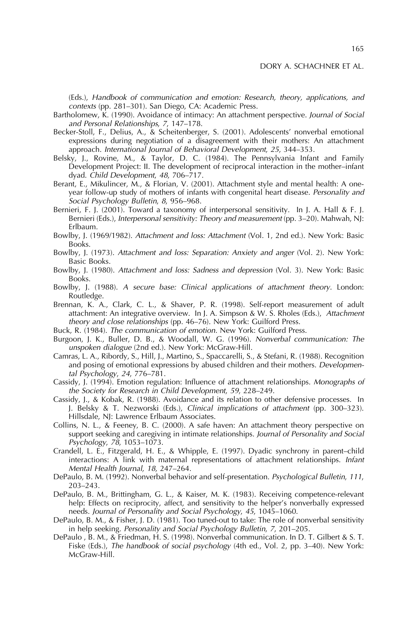(Eds.), Handbook of communication and emotion: Research, theory, applications, and contexts (pp. 281–301). San Diego, CA: Academic Press.

- Bartholomew, K. (1990). Avoidance of intimacy: An attachment perspective. Journal of Social and Personal Relationships, 7, 147–178.
- Becker-Stoll, F., Delius, A., & Scheitenberger, S. (2001). Adolescents' nonverbal emotional expressions during negotiation of a disagreement with their mothers: An attachment approach. International Journal of Behavioral Development, 25, 344–353.
- Belsky, J., Rovine, M., & Taylor, D. C. (1984). The Pennsylvania Infant and Family Development Project: II. The development of reciprocal interaction in the mother–infant dyad. Child Development, 48, 706–717.
- Berant, E., Mikulincer, M., & Florian, V. (2001). Attachment style and mental health: A oneyear follow-up study of mothers of infants with congenital heart disease. Personality and Social Psychology Bulletin, 8, 956–968.
- Bernieri, F. J. (2001). Toward a taxonomy of interpersonal sensitivity. In J. A. Hall & F. J. Bernieri (Eds.), Interpersonal sensitivity: Theory and measurement (pp. 3–20). Mahwah, NJ: Erlbaum.
- Bowlby, J. (1969/1982). Attachment and loss: Attachment (Vol. 1, 2nd ed.). New York: Basic Books.
- Bowlby, J. (1973). Attachment and loss: Separation: Anxiety and anger (Vol. 2). New York: Basic Books.
- Bowlby, J. (1980). Attachment and loss: Sadness and depression (Vol. 3). New York: Basic Books.
- Bowlby, J. (1988). A secure base: Clinical applications of attachment theory. London: Routledge.
- Brennan, K. A., Clark, C. L., & Shaver, P. R. (1998). Self-report measurement of adult attachment: An integrative overview. In J. A. Simpson & W. S. Rholes (Eds.), Attachment theory and close relationships (pp. 46–76). New York: Guilford Press.
- Buck, R. (1984). The communication of emotion. New York: Guilford Press.
- Burgoon, J. K., Buller, D. B., & Woodall, W. G. (1996). Nonverbal communication: The unspoken dialogue (2nd ed.). New York: McGraw-Hill.
- Camras, L. A., Ribordy, S., Hill, J., Martino, S., Spaccarelli, S., & Stefani, R. (1988). Recognition and posing of emotional expressions by abused children and their mothers. Developmental Psychology, 24, 776–781.
- Cassidy, J. (1994). Emotion regulation: Influence of attachment relationships. Monographs of the Society for Research in Child Development, 59, 228–249.
- Cassidy, J., & Kobak, R. (1988). Avoidance and its relation to other defensive processes. In J. Belsky & T. Nezworski (Eds.), Clinical implications of attachment (pp. 300–323). Hillsdale, NJ: Lawrence Erlbaum Associates.
- Collins, N. L., & Feeney, B. C. (2000). A safe haven: An attachment theory perspective on support seeking and caregiving in intimate relationships. Journal of Personality and Social Psychology, 78, 1053–1073.
- Crandell, L. E., Fitzgerald, H. E., & Whipple, E. (1997). Dyadic synchrony in parent–child interactions: A link with maternal representations of attachment relationships. Infant Mental Health Journal, 18, 247–264.
- DePaulo, B. M. (1992). Nonverbal behavior and self-presentation. Psychological Bulletin, 111, 203–243.
- DePaulo, B. M., Brittingham, G. L., & Kaiser, M. K. (1983). Receiving competence-relevant help: Effects on reciprocity, affect, and sensitivity to the helper's nonverbally expressed needs. Journal of Personality and Social Psychology, 45, 1045–1060.
- DePaulo, B. M., & Fisher, J. D. (1981). Too tuned-out to take: The role of nonverbal sensitivity in help seeking. Personality and Social Psychology Bulletin, 7, 201–205.
- DePaulo , B. M., & Friedman, H. S. (1998). Nonverbal communication. In D. T. Gilbert & S. T. Fiske (Eds.), The handbook of social psychology (4th ed., Vol. 2, pp. 3–40). New York: McGraw-Hill.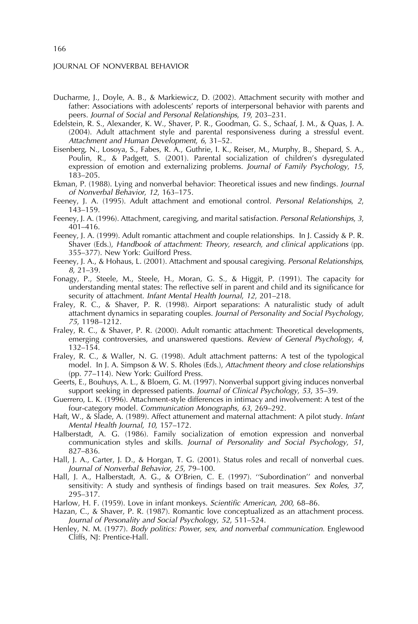- Ducharme, J., Doyle, A. B., & Markiewicz, D. (2002). Attachment security with mother and father: Associations with adolescents' reports of interpersonal behavior with parents and peers. Journal of Social and Personal Relationships, 19, 203–231.
- Edelstein, R. S., Alexander, K. W., Shaver, P. R., Goodman, G. S., Schaaf, J. M., & Quas, J. A. (2004). Adult attachment style and parental responsiveness during a stressful event. Attachment and Human Development, 6, 31–52.
- Eisenberg, N., Losoya, S., Fabes, R. A., Guthrie, I. K., Reiser, M., Murphy, B., Shepard, S. A., Poulin, R., & Padgett, S. (2001). Parental socialization of children's dysregulated expression of emotion and externalizing problems. Journal of Family Psychology, 15, 183–205.
- Ekman, P. (1988). Lying and nonverbal behavior: Theoretical issues and new findings. Journal of Nonverbal Behavior, 12, 163–175.
- Feeney, J. A. (1995). Adult attachment and emotional control. Personal Relationships, 2, 143–159.
- Feeney, J. A. (1996). Attachment, caregiving, and marital satisfaction. Personal Relationships, 3, 401–416.
- Feeney, J. A. (1999). Adult romantic attachment and couple relationships. In J. Cassidy & P. R. Shaver (Eds.), Handbook of attachment: Theory, research, and clinical applications (pp. 355–377). New York: Guilford Press.
- Feeney, J. A., & Hohaus, L. (2001). Attachment and spousal caregiving. Personal Relationships, 8, 21–39.
- Fonagy, P., Steele, M., Steele, H., Moran, G. S., & Higgit, P. (1991). The capacity for understanding mental states: The reflective self in parent and child and its significance for security of attachment. Infant Mental Health Journal, 12, 201–218.
- Fraley, R. C., & Shaver, P. R. (1998). Airport separations: A naturalistic study of adult attachment dynamics in separating couples. Journal of Personality and Social Psychology, 75, 1198–1212.
- Fraley, R. C., & Shaver, P. R. (2000). Adult romantic attachment: Theoretical developments, emerging controversies, and unanswered questions. Review of General Psychology, 4,  $132 - 154$ .
- Fraley, R. C., & Waller, N. G. (1998). Adult attachment patterns: A test of the typological model. In J. A. Simpson & W. S. Rholes (Eds.), Attachment theory and close relationships (pp. 77–114). New York: Guilford Press.
- Geerts, E., Bouhuys, A. L., & Bloem, G. M. (1997). Nonverbal support giving induces nonverbal support seeking in depressed patients. Journal of Clinical Psychology, 53, 35–39.
- Guerrero, L. K. (1996). Attachment-style differences in intimacy and involvement: A test of the four-category model. Communication Monographs, 63, 269–292.
- Haft, W., & Slade, A. (1989). Affect attunement and maternal attachment: A pilot study. Infant Mental Health Journal, 10, 157–172.
- Halberstadt, A. G. (1986). Family socialization of emotion expression and nonverbal communication styles and skills. Journal of Personality and Social Psychology, 51, 827–836.
- Hall, J. A., Carter, J. D., & Horgan, T. G. (2001). Status roles and recall of nonverbal cues. Journal of Nonverbal Behavior, 25, 79–100.
- Hall, J. A., Halberstadt, A. G., & O'Brien, C. E. (1997). ''Subordination'' and nonverbal sensitivity: A study and synthesis of findings based on trait measures. Sex Roles, 37, 295–317.
- Harlow, H. F. (1959). Love in infant monkeys. Scientific American, 200, 68–86.
- Hazan, C., & Shaver, P. R. (1987). Romantic love conceptualized as an attachment process. Journal of Personality and Social Psychology, 52, 511–524.
- Henley, N. M. (1977). Body politics: Power, sex, and nonverbal communication. Englewood Cliffs, NJ: Prentice-Hall.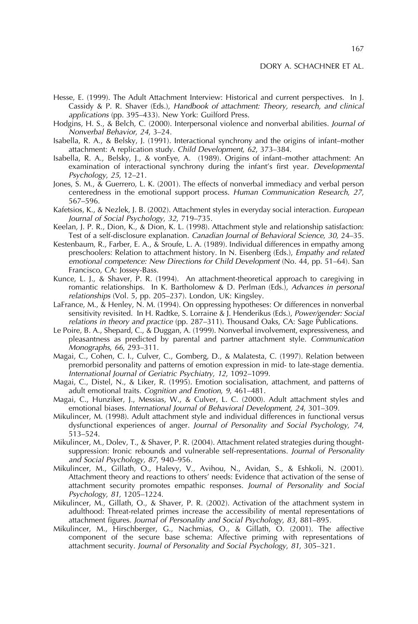- Hesse, E. (1999). The Adult Attachment Interview: Historical and current perspectives. In J. Cassidy & P. R. Shaver (Eds.), Handbook of attachment: Theory, research, and clinical applications (pp. 395–433). New York: Guilford Press.
- Hodgins, H. S., & Belch, C. (2000). Interpersonal violence and nonverbal abilities. Journal of Nonverbal Behavior, 24, 3–24.
- Isabella, R. A., & Belsky, J. (1991). Interactional synchrony and the origins of infant–mother attachment: A replication study. Child Development, 62, 373–384.
- Isabella, R. A., Belsky, J., & vonEye, A. (1989). Origins of infant–mother attachment: An examination of interactional synchrony during the infant's first year. Developmental Psychology, 25, 12–21.
- Jones, S. M., & Guerrero, L. K. (2001). The effects of nonverbal immediacy and verbal person centeredness in the emotional support process. Human Communication Research, 27, 567–596.
- Kafetsios, K., & Nezlek, J. B. (2002). Attachment styles in everyday social interaction. European Journal of Social Psychology, 32, 719–735.
- Keelan, J. P. R., Dion, K., & Dion, K. L. (1998). Attachment style and relationship satisfaction: Test of a self-disclosure explanation. Canadian Journal of Behavioral Science, 30, 24–35.
- Kestenbaum, R., Farber, E. A., & Sroufe, L. A. (1989). Individual differences in empathy among preschoolers: Relation to attachment history. In N. Eisenberg (Eds.), *Empathy and related* emotional competence: New Directions for Child Development (No. 44, pp. 51–64). San Francisco, CA: Jossey-Bass.
- Kunce, L. J., & Shaver, P. R. (1994). An attachment-theoretical approach to caregiving in romantic relationships. In K. Bartholomew & D. Perlman (Eds.), Advances in personal relationships (Vol. 5, pp. 205–237). London, UK: Kingsley.
- LaFrance, M., & Henley, N. M. (1994). On oppressing hypotheses: Or differences in nonverbal sensitivity revisited. In H. Radtke, S. Lorraine & J. Henderikus (Eds.), Power/gender: Social relations in theory and practice (pp. 287–311). Thousand Oaks, CA: Sage Publications.
- Le Poire, B. A., Shepard, C., & Duggan, A. (1999). Nonverbal involvement, expressiveness, and pleasantness as predicted by parental and partner attachment style. Communication Monographs, 66, 293–311.
- Magai, C., Cohen, C. I., Culver, C., Gomberg, D., & Malatesta, C. (1997). Relation between premorbid personality and patterns of emotion expression in mid- to late-stage dementia. International Journal of Geriatric Psychiatry, 12, 1092–1099.
- Magai, C., Distel, N., & Liker, R. (1995). Emotion socialisation, attachment, and patterns of adult emotional traits. Cognition and Emotion, 9, 461–481.
- Magai, C., Hunziker, J., Messias, W., & Culver, L. C. (2000). Adult attachment styles and emotional biases. International Journal of Behavioral Development, 24, 301–309.
- Mikulincer, M. (1998). Adult attachment style and individual differences in functional versus dysfunctional experiences of anger. Journal of Personality and Social Psychology, 74, 513–524.
- Mikulincer, M., Dolev, T., & Shaver, P. R. (2004). Attachment related strategies during thoughtsuppression: Ironic rebounds and vulnerable self-representations. Journal of Personality and Social Psychology, 87, 940–956.
- Mikulincer, M., Gillath, O., Halevy, V., Avihou, N., Avidan, S., & Eshkoli, N. (2001). Attachment theory and reactions to others' needs: Evidence that activation of the sense of attachment security promotes empathic responses. Journal of Personality and Social Psychology, 81, 1205–1224.
- Mikulincer, M., Gillath, O., & Shaver, P. R. (2002). Activation of the attachment system in adulthood: Threat-related primes increase the accessibility of mental representations of attachment figures. Journal of Personality and Social Psychology, 83, 881–895.
- Mikulincer, M., Hirschberger, G., Nachmias, O., & Gillath, O. (2001). The affective component of the secure base schema: Affective priming with representations of attachment security. Journal of Personality and Social Psychology, 81, 305–321.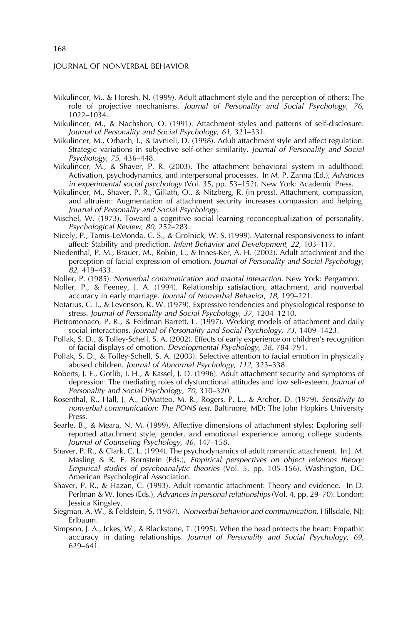- Mikulincer, M., & Horesh, N. (1999). Adult attachment style and the perception of others: The role of projective mechanisms. Journal of Personality and Social Psychology, 76, 1022–1034.
- Mikulincer, M., & Nachshon, O. (1991). Attachment styles and patterns of self-disclosure. Journal of Personality and Social Psychology, 61, 321–331.
- Mikulincer, M., Orbach, I., & Iavnieli, D. (1998). Adult attachment style and affect regulation: Strategic variations in subjective self-other similarity. Journal of Personality and Social Psychology, 75, 436–448.
- Mikulincer, M., & Shaver, P. R. (2003). The attachment behavioral system in adulthood: Activation, psychodynamics, and interpersonal processes. In M. P. Zanna (Ed.), Advances in experimental social psychology (Vol. 35, pp. 53–152). New York: Academic Press.
- Mikulincer, M., Shaver, P. R., Gillath, O., & Nitzberg, R. (in press). Attachment, compassion, and altruism: Augmentation of attachment security increases compassion and helping. Journal of Personality and Social Psychology.
- Mischel, W. (1973). Toward a cognitive social learning reconceptualization of personality. Psychological Review, 80, 252–283.
- Nicely, P., Tamis-LeMonda, C. S., & Grolnick, W. S. (1999). Maternal responsiveness to infant affect: Stability and prediction. Infant Behavior and Development, 22, 103–117.
- Niedenthal, P. M., Brauer, M., Robin, L., & Innes-Ker, A. H. (2002). Adult attachment and the perception of facial expression of emotion. Journal of Personality and Social Psychology, 82, 419–433.
- Noller, P. (1985). Nonverbal communication and marital interaction. New York: Pergamon.
- Noller, P., & Feeney, J. A. (1994). Relationship satisfaction, attachment, and nonverbal accuracy in early marriage. Journal of Nonverbal Behavior, 18, 199–221.
- Notarius, C. I., & Levenson, R. W. (1979). Expressive tendencies and physiological response to stress. Journal of Personality and Social Psychology, 37, 1204–1210.
- Pietromonaco, P. R., & Feldman Barrett, L. (1997). Working models of attachment and daily social interactions. Journal of Personality and Social Psychology, 73, 1409–1423.
- Pollak, S. D., & Tolley-Schell, S. A. (2002). Effects of early experience on children's recognition of facial displays of emotion. Developmental Psychology, 38, 784–791.
- Pollak, S. D., & Tolley-Schell, S. A. (2003). Selective attention to facial emotion in physically abused children. Journal of Abnormal Psychology, 112, 323–338.
- Roberts, J. E., Gotlib, I. H., & Kassel, J. D. (1996). Adult attachment security and symptoms of depression: The mediating roles of dysfunctional attitudes and low self-esteem. Journal of Personality and Social Psychology, 70, 310–320.
- Rosenthal, R., Hall, J. A., DiMatteo, M. R., Rogers, P. L., & Archer, D. (1979). Sensitivity to nonverbal communication: The PONS test. Baltimore, MD: The John Hopkins University Press.
- Searle, B., & Meara, N. M. (1999). Affective dimensions of attachment styles: Exploring selfreported attachment style, gender, and emotional experience among college students. Journal of Counseling Psychology, 46, 147–158.
- Shaver, P. R., & Clark, C. L. (1994). The psychodynamics of adult romantic attachment. In J. M. Masling & R. F. Bornstein (Eds.), Empirical perspectives on object relations theory: Empirical studies of psychoanalytic theories (Vol. 5, pp. 105–156). Washington, DC: American Psychological Association.
- Shaver, P. R., & Hazan, C. (1993). Adult romantic attachment: Theory and evidence. In D. Perlman & W. Jones (Eds.), Advances in personal relationships (Vol. 4, pp. 29–70). London: Jessica Kingsley.
- Siegman, A. W., & Feldstein, S. (1987). Nonverbal behavior and communication. Hillsdale, NJ: Erlbaum.
- Simpson, J. A., Ickes, W., & Blackstone, T. (1995). When the head protects the heart: Empathic accuracy in dating relationships. Journal of Personality and Social Psychology, 69, 629–641.